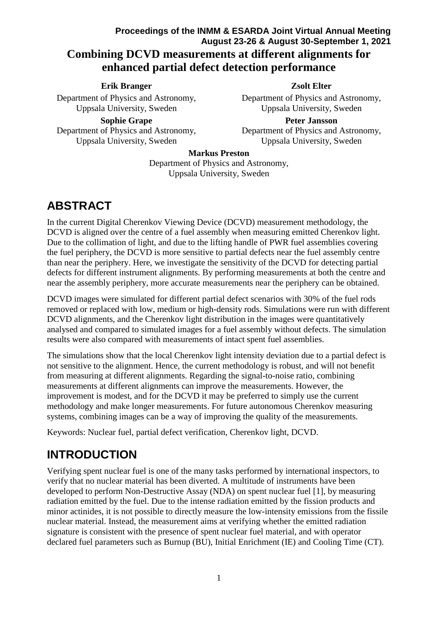## **Proceedings of the INMM & ESARDA Joint Virtual Annual Meeting August 23-26 & August 30-September 1, 2021 Combining DCVD measurements at different alignments for enhanced partial defect detection performance**

#### **Erik Branger**

Department of Physics and Astronomy, Uppsala University, Sweden

### **Zsolt Elter**

Department of Physics and Astronomy, Uppsala University, Sweden

**Sophie Grape** Department of Physics and Astronomy, Uppsala University, Sweden

**Peter Jansson** Department of Physics and Astronomy, Uppsala University, Sweden

#### **Markus Preston**

Department of Physics and Astronomy, Uppsala University, Sweden

## **ABSTRACT**

In the current Digital Cherenkov Viewing Device (DCVD) measurement methodology, the DCVD is aligned over the centre of a fuel assembly when measuring emitted Cherenkov light. Due to the collimation of light, and due to the lifting handle of PWR fuel assemblies covering the fuel periphery, the DCVD is more sensitive to partial defects near the fuel assembly centre than near the periphery. Here, we investigate the sensitivity of the DCVD for detecting partial defects for different instrument alignments. By performing measurements at both the centre and near the assembly periphery, more accurate measurements near the periphery can be obtained.

DCVD images were simulated for different partial defect scenarios with 30% of the fuel rods removed or replaced with low, medium or high-density rods. Simulations were run with different DCVD alignments, and the Cherenkov light distribution in the images were quantitatively analysed and compared to simulated images for a fuel assembly without defects. The simulation results were also compared with measurements of intact spent fuel assemblies.

The simulations show that the local Cherenkov light intensity deviation due to a partial defect is not sensitive to the alignment. Hence, the current methodology is robust, and will not benefit from measuring at different alignments. Regarding the signal-to-noise ratio, combining measurements at different alignments can improve the measurements. However, the improvement is modest, and for the DCVD it may be preferred to simply use the current methodology and make longer measurements. For future autonomous Cherenkov measuring systems, combining images can be a way of improving the quality of the measurements.

Keywords: Nuclear fuel, partial defect verification, Cherenkov light, DCVD.

## **INTRODUCTION**

Verifying spent nuclear fuel is one of the many tasks performed by international inspectors, to verify that no nuclear material has been diverted. A multitude of instruments have been developed to perform Non-Destructive Assay (NDA) on spent nuclear fuel [1], by measuring radiation emitted by the fuel. Due to the intense radiation emitted by the fission products and minor actinides, it is not possible to directly measure the low-intensity emissions from the fissile nuclear material. Instead, the measurement aims at verifying whether the emitted radiation signature is consistent with the presence of spent nuclear fuel material, and with operator declared fuel parameters such as Burnup (BU), Initial Enrichment (IE) and Cooling Time (CT).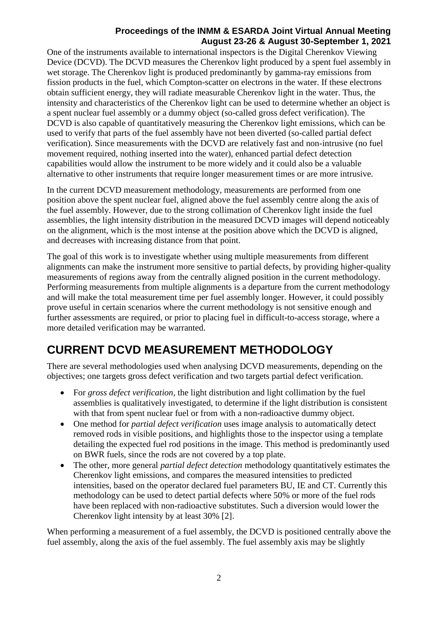One of the instruments available to international inspectors is the Digital Cherenkov Viewing Device (DCVD). The DCVD measures the Cherenkov light produced by a spent fuel assembly in wet storage. The Cherenkov light is produced predominantly by gamma-ray emissions from fission products in the fuel, which Compton-scatter on electrons in the water. If these electrons obtain sufficient energy, they will radiate measurable Cherenkov light in the water. Thus, the intensity and characteristics of the Cherenkov light can be used to determine whether an object is a spent nuclear fuel assembly or a dummy object (so-called gross defect verification). The DCVD is also capable of quantitatively measuring the Cherenkov light emissions, which can be used to verify that parts of the fuel assembly have not been diverted (so-called partial defect verification). Since measurements with the DCVD are relatively fast and non-intrusive (no fuel movement required, nothing inserted into the water), enhanced partial defect detection capabilities would allow the instrument to be more widely and it could also be a valuable alternative to other instruments that require longer measurement times or are more intrusive.

In the current DCVD measurement methodology, measurements are performed from one position above the spent nuclear fuel, aligned above the fuel assembly centre along the axis of the fuel assembly. However, due to the strong collimation of Cherenkov light inside the fuel assemblies, the light intensity distribution in the measured DCVD images will depend noticeably on the alignment, which is the most intense at the position above which the DCVD is aligned, and decreases with increasing distance from that point.

The goal of this work is to investigate whether using multiple measurements from different alignments can make the instrument more sensitive to partial defects, by providing higher-quality measurements of regions away from the centrally aligned position in the current methodology. Performing measurements from multiple alignments is a departure from the current methodology and will make the total measurement time per fuel assembly longer. However, it could possibly prove useful in certain scenarios where the current methodology is not sensitive enough and further assessments are required, or prior to placing fuel in difficult-to-access storage, where a more detailed verification may be warranted.

# **CURRENT DCVD MEASUREMENT METHODOLOGY**

There are several methodologies used when analysing DCVD measurements, depending on the objectives; one targets gross defect verification and two targets partial defect verification.

- For *gross defect verification*, the light distribution and light collimation by the fuel assemblies is qualitatively investigated, to determine if the light distribution is consistent with that from spent nuclear fuel or from with a non-radioactive dummy object.
- One method for *partial defect verification* uses image analysis to automatically detect removed rods in visible positions, and highlights those to the inspector using a template detailing the expected fuel rod positions in the image. This method is predominantly used on BWR fuels, since the rods are not covered by a top plate.
- The other, more general *partial defect detection* methodology quantitatively estimates the Cherenkov light emissions, and compares the measured intensities to predicted intensities, based on the operator declared fuel parameters BU, IE and CT. Currently this methodology can be used to detect partial defects where 50% or more of the fuel rods have been replaced with non-radioactive substitutes. Such a diversion would lower the Cherenkov light intensity by at least 30% [2].

When performing a measurement of a fuel assembly, the DCVD is positioned centrally above the fuel assembly, along the axis of the fuel assembly. The fuel assembly axis may be slightly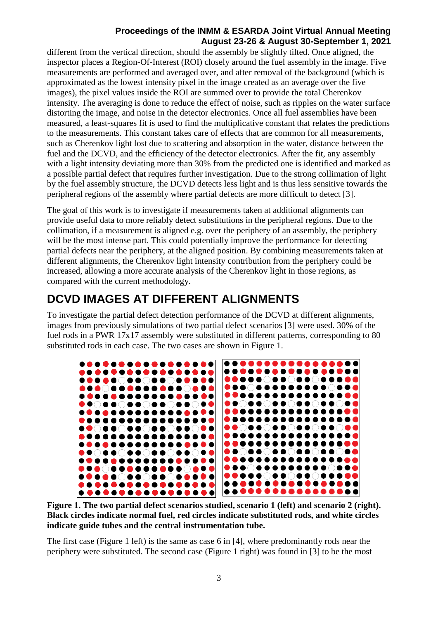different from the vertical direction, should the assembly be slightly tilted. Once aligned, the inspector places a Region-Of-Interest (ROI) closely around the fuel assembly in the image. Five measurements are performed and averaged over, and after removal of the background (which is approximated as the lowest intensity pixel in the image created as an average over the five images), the pixel values inside the ROI are summed over to provide the total Cherenkov intensity. The averaging is done to reduce the effect of noise, such as ripples on the water surface distorting the image, and noise in the detector electronics. Once all fuel assemblies have been measured, a least-squares fit is used to find the multiplicative constant that relates the predictions to the measurements. This constant takes care of effects that are common for all measurements, such as Cherenkov light lost due to scattering and absorption in the water, distance between the fuel and the DCVD, and the efficiency of the detector electronics. After the fit, any assembly with a light intensity deviating more than 30% from the predicted one is identified and marked as a possible partial defect that requires further investigation. Due to the strong collimation of light by the fuel assembly structure, the DCVD detects less light and is thus less sensitive towards the peripheral regions of the assembly where partial defects are more difficult to detect [3].

The goal of this work is to investigate if measurements taken at additional alignments can provide useful data to more reliably detect substitutions in the peripheral regions. Due to the collimation, if a measurement is aligned e.g. over the periphery of an assembly, the periphery will be the most intense part. This could potentially improve the performance for detecting partial defects near the periphery, at the aligned position. By combining measurements taken at different alignments, the Cherenkov light intensity contribution from the periphery could be increased, allowing a more accurate analysis of the Cherenkov light in those regions, as compared with the current methodology.

## **DCVD IMAGES AT DIFFERENT ALIGNMENTS**

To investigate the partial defect detection performance of the DCVD at different alignments, images from previously simulations of two partial defect scenarios [3] were used. 30% of the fuel rods in a PWR 17x17 assembly were substituted in different patterns, corresponding to 80 substituted rods in each case. The two cases are shown in Figure 1.



**Figure 1. The two partial defect scenarios studied, scenario 1 (left) and scenario 2 (right). Black circles indicate normal fuel, red circles indicate substituted rods, and white circles indicate guide tubes and the central instrumentation tube.**

The first case (Figure 1 left) is the same as case 6 in [4], where predominantly rods near the periphery were substituted. The second case (Figure 1 right) was found in [3] to be the most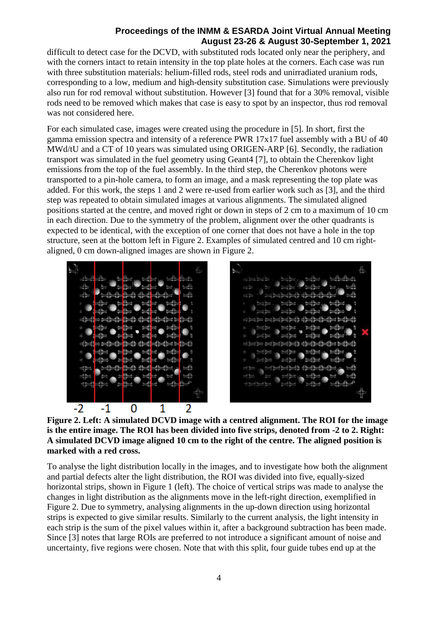difficult to detect case for the DCVD, with substituted rods located only near the periphery, and with the corners intact to retain intensity in the top plate holes at the corners. Each case was run with three substitution materials: helium-filled rods, steel rods and unirradiated uranium rods, corresponding to a low, medium and high-density substitution case. Simulations were previously also run for rod removal without substitution. However [3] found that for a 30% removal, visible rods need to be removed which makes that case is easy to spot by an inspector, thus rod removal was not considered here.

For each simulated case, images were created using the procedure in [5]. In short, first the gamma emission spectra and intensity of a reference PWR 17x17 fuel assembly with a BU of 40 MWd/tU and a CT of 10 years was simulated using ORIGEN-ARP [6]. Secondly, the radiation transport was simulated in the fuel geometry using Geant4 [7], to obtain the Cherenkov light emissions from the top of the fuel assembly. In the third step, the Cherenkov photons were transported to a pin-hole camera, to form an image, and a mask representing the top plate was added. For this work, the steps 1 and 2 were re-used from earlier work such as [3], and the third step was repeated to obtain simulated images at various alignments. The simulated aligned positions started at the centre, and moved right or down in steps of 2 cm to a maximum of 10 cm in each direction. Due to the symmetry of the problem, alignment over the other quadrants is expected to be identical, with the exception of one corner that does not have a hole in the top structure, seen at the bottom left in Figure 2. Examples of simulated centred and 10 cm rightaligned, 0 cm down-aligned images are shown in Figure 2.



**Figure 2. Left: A simulated DCVD image with a centred alignment. The ROI for the image is the entire image. The ROI has been divided into five strips, denoted from -2 to 2. Right: A simulated DCVD image aligned 10 cm to the right of the centre. The aligned position is marked with a red cross.**

To analyse the light distribution locally in the images, and to investigate how both the alignment and partial defects alter the light distribution, the ROI was divided into five, equally-sized horizontal strips, shown in Figure 1 (left). The choice of vertical strips was made to analyse the changes in light distribution as the alignments move in the left-right direction, exemplified in Figure 2. Due to symmetry, analysing alignments in the up-down direction using horizontal strips is expected to give similar results. Similarly to the current analysis, the light intensity in each strip is the sum of the pixel values within it, after a background subtraction has been made. Since [3] notes that large ROIs are preferred to not introduce a significant amount of noise and uncertainty, five regions were chosen. Note that with this split, four guide tubes end up at the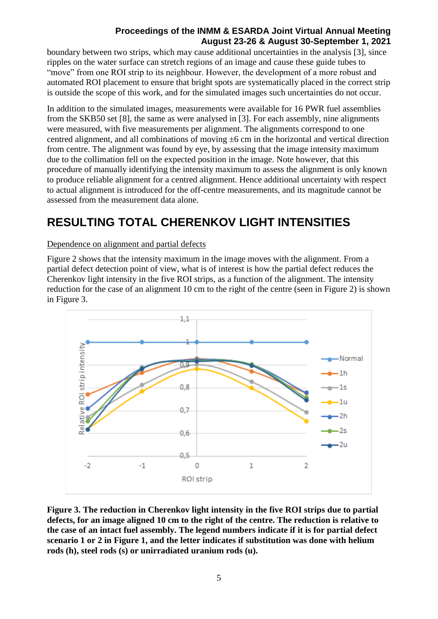boundary between two strips, which may cause additional uncertainties in the analysis [3], since ripples on the water surface can stretch regions of an image and cause these guide tubes to "move" from one ROI strip to its neighbour. However, the development of a more robust and automated ROI placement to ensure that bright spots are systematically placed in the correct strip is outside the scope of this work, and for the simulated images such uncertainties do not occur.

In addition to the simulated images, measurements were available for 16 PWR fuel assemblies from the SKB50 set [8], the same as were analysed in [3]. For each assembly, nine alignments were measured, with five measurements per alignment. The alignments correspond to one centred alignment, and all combinations of moving ±6 cm in the horizontal and vertical direction from centre. The alignment was found by eye, by assessing that the image intensity maximum due to the collimation fell on the expected position in the image. Note however, that this procedure of manually identifying the intensity maximum to assess the alignment is only known to produce reliable alignment for a centred alignment. Hence additional uncertainty with respect to actual alignment is introduced for the off-centre measurements, and its magnitude cannot be assessed from the measurement data alone.

# **RESULTING TOTAL CHERENKOV LIGHT INTENSITIES**

#### Dependence on alignment and partial defects

Figure 2 shows that the intensity maximum in the image moves with the alignment. From a partial defect detection point of view, what is of interest is how the partial defect reduces the Cherenkov light intensity in the five ROI strips, as a function of the alignment. The intensity reduction for the case of an alignment 10 cm to the right of the centre (seen in Figure 2) is shown in Figure 3.



**Figure 3. The reduction in Cherenkov light intensity in the five ROI strips due to partial defects, for an image aligned 10 cm to the right of the centre. The reduction is relative to the case of an intact fuel assembly. The legend numbers indicate if it is for partial defect scenario 1 or 2 in Figure 1, and the letter indicates if substitution was done with helium rods (h), steel rods (s) or unirradiated uranium rods (u).**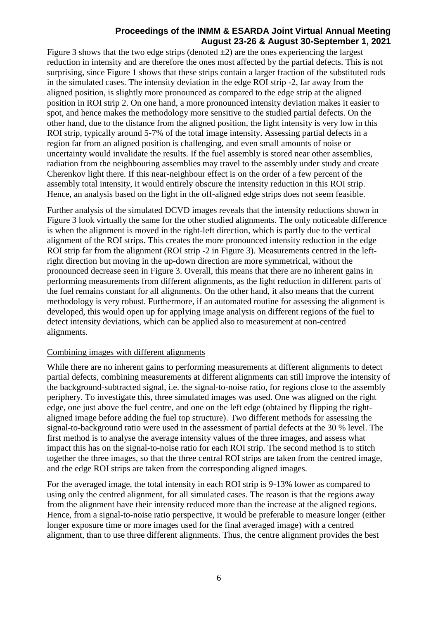Figure 3 shows that the two edge strips (denoted  $\pm 2$ ) are the ones experiencing the largest reduction in intensity and are therefore the ones most affected by the partial defects. This is not surprising, since Figure 1 shows that these strips contain a larger fraction of the substituted rods in the simulated cases. The intensity deviation in the edge ROI strip -2, far away from the aligned position, is slightly more pronounced as compared to the edge strip at the aligned position in ROI strip 2. On one hand, a more pronounced intensity deviation makes it easier to spot, and hence makes the methodology more sensitive to the studied partial defects. On the other hand, due to the distance from the aligned position, the light intensity is very low in this ROI strip, typically around 5-7% of the total image intensity. Assessing partial defects in a region far from an aligned position is challenging, and even small amounts of noise or uncertainty would invalidate the results. If the fuel assembly is stored near other assemblies, radiation from the neighbouring assemblies may travel to the assembly under study and create Cherenkov light there. If this near-neighbour effect is on the order of a few percent of the assembly total intensity, it would entirely obscure the intensity reduction in this ROI strip. Hence, an analysis based on the light in the off-aligned edge strips does not seem feasible.

Further analysis of the simulated DCVD images reveals that the intensity reductions shown in Figure 3 look virtually the same for the other studied alignments. The only noticeable difference is when the alignment is moved in the right-left direction, which is partly due to the vertical alignment of the ROI strips. This creates the more pronounced intensity reduction in the edge ROI strip far from the alignment (ROI strip -2 in Figure 3). Measurements centred in the leftright direction but moving in the up-down direction are more symmetrical, without the pronounced decrease seen in Figure 3. Overall, this means that there are no inherent gains in performing measurements from different alignments, as the light reduction in different parts of the fuel remains constant for all alignments. On the other hand, it also means that the current methodology is very robust. Furthermore, if an automated routine for assessing the alignment is developed, this would open up for applying image analysis on different regions of the fuel to detect intensity deviations, which can be applied also to measurement at non-centred alignments.

#### Combining images with different alignments

While there are no inherent gains to performing measurements at different alignments to detect partial defects, combining measurements at different alignments can still improve the intensity of the background-subtracted signal, i.e. the signal-to-noise ratio, for regions close to the assembly periphery. To investigate this, three simulated images was used. One was aligned on the right edge, one just above the fuel centre, and one on the left edge (obtained by flipping the rightaligned image before adding the fuel top structure). Two different methods for assessing the signal-to-background ratio were used in the assessment of partial defects at the 30 % level. The first method is to analyse the average intensity values of the three images, and assess what impact this has on the signal-to-noise ratio for each ROI strip. The second method is to stitch together the three images, so that the three central ROI strips are taken from the centred image, and the edge ROI strips are taken from the corresponding aligned images.

For the averaged image, the total intensity in each ROI strip is 9-13% lower as compared to using only the centred alignment, for all simulated cases. The reason is that the regions away from the alignment have their intensity reduced more than the increase at the aligned regions. Hence, from a signal-to-noise ratio perspective, it would be preferable to measure longer (either longer exposure time or more images used for the final averaged image) with a centred alignment, than to use three different alignments. Thus, the centre alignment provides the best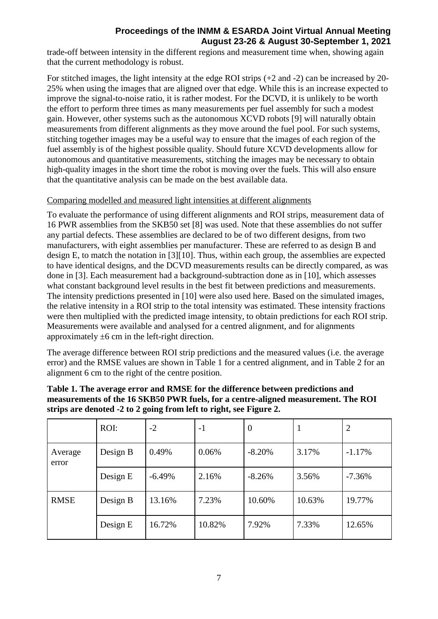trade-off between intensity in the different regions and measurement time when, showing again that the current methodology is robust.

For stitched images, the light intensity at the edge ROI strips (+2 and -2) can be increased by 20- 25% when using the images that are aligned over that edge. While this is an increase expected to improve the signal-to-noise ratio, it is rather modest. For the DCVD, it is unlikely to be worth the effort to perform three times as many measurements per fuel assembly for such a modest gain. However, other systems such as the autonomous XCVD robots [9] will naturally obtain measurements from different alignments as they move around the fuel pool. For such systems, stitching together images may be a useful way to ensure that the images of each region of the fuel assembly is of the highest possible quality. Should future XCVD developments allow for autonomous and quantitative measurements, stitching the images may be necessary to obtain high-quality images in the short time the robot is moving over the fuels. This will also ensure that the quantitative analysis can be made on the best available data.

#### Comparing modelled and measured light intensities at different alignments

To evaluate the performance of using different alignments and ROI strips, measurement data of 16 PWR assemblies from the SKB50 set [8] was used. Note that these assemblies do not suffer any partial defects. These assemblies are declared to be of two different designs, from two manufacturers, with eight assemblies per manufacturer. These are referred to as design B and design E, to match the notation in [3][10]. Thus, within each group, the assemblies are expected to have identical designs, and the DCVD measurements results can be directly compared, as was done in [3]. Each measurement had a background-subtraction done as in [10], which assesses what constant background level results in the best fit between predictions and measurements. The intensity predictions presented in [10] were also used here. Based on the simulated images, the relative intensity in a ROI strip to the total intensity was estimated. These intensity fractions were then multiplied with the predicted image intensity, to obtain predictions for each ROI strip. Measurements were available and analysed for a centred alignment, and for alignments approximately  $\pm 6$  cm in the left-right direction.

The average difference between ROI strip predictions and the measured values (i.e. the average error) and the RMSE values are shown in Table 1 for a centred alignment, and in Table 2 for an alignment 6 cm to the right of the centre position.

|                  | ROI:     | $-2$     | $-1$   | $\overline{0}$ |        | 2        |
|------------------|----------|----------|--------|----------------|--------|----------|
| Average<br>error | Design B | 0.49%    | 0.06%  | $-8.20%$       | 3.17%  | $-1.17%$ |
|                  | Design E | $-6.49%$ | 2.16%  | $-8.26%$       | 3.56%  | $-7.36%$ |
| <b>RMSE</b>      | Design B | 13.16%   | 7.23%  | 10.60%         | 10.63% | 19.77%   |
|                  | Design E | 16.72%   | 10.82% | 7.92%          | 7.33%  | 12.65%   |

#### **Table 1. The average error and RMSE for the difference between predictions and measurements of the 16 SKB50 PWR fuels, for a centre-aligned measurement. The ROI strips are denoted -2 to 2 going from left to right, see Figure 2.**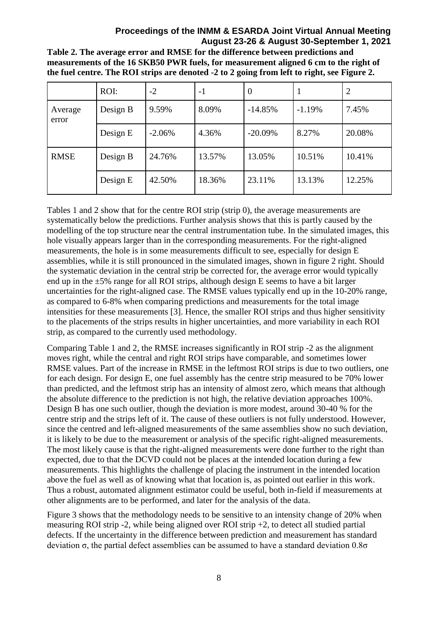**Table 2. The average error and RMSE for the difference between predictions and measurements of the 16 SKB50 PWR fuels, for measurement aligned 6 cm to the right of the fuel centre. The ROI strips are denoted -2 to 2 going from left to right, see Figure 2.**

|                  | ROI:     | $-2$     | - 1    | $\theta$   |          |        |
|------------------|----------|----------|--------|------------|----------|--------|
| Average<br>error | Design B | 9.59%    | 8.09%  | $-14.85%$  | $-1.19%$ | 7.45%  |
|                  | Design E | $-2.06%$ | 4.36%  | $-20.09\%$ | 8.27%    | 20.08% |
| <b>RMSE</b>      | Design B | 24.76%   | 13.57% | 13.05%     | 10.51%   | 10.41% |
|                  | Design E | 42.50%   | 18.36% | 23.11%     | 13.13%   | 12.25% |

Tables 1 and 2 show that for the centre ROI strip (strip 0), the average measurements are systematically below the predictions. Further analysis shows that this is partly caused by the modelling of the top structure near the central instrumentation tube. In the simulated images, this hole visually appears larger than in the corresponding measurements. For the right-aligned measurements, the hole is in some measurements difficult to see, especially for design E assemblies, while it is still pronounced in the simulated images, shown in figure 2 right. Should the systematic deviation in the central strip be corrected for, the average error would typically end up in the  $\pm$ 5% range for all ROI strips, although design E seems to have a bit larger uncertainties for the right-aligned case. The RMSE values typically end up in the 10-20% range, as compared to 6-8% when comparing predictions and measurements for the total image intensities for these measurements [3]. Hence, the smaller ROI strips and thus higher sensitivity to the placements of the strips results in higher uncertainties, and more variability in each ROI strip, as compared to the currently used methodology.

Comparing Table 1 and 2, the RMSE increases significantly in ROI strip -2 as the alignment moves right, while the central and right ROI strips have comparable, and sometimes lower RMSE values. Part of the increase in RMSE in the leftmost ROI strips is due to two outliers, one for each design. For design E, one fuel assembly has the centre strip measured to be 70% lower than predicted, and the leftmost strip has an intensity of almost zero, which means that although the absolute difference to the prediction is not high, the relative deviation approaches 100%. Design B has one such outlier, though the deviation is more modest, around 30-40 % for the centre strip and the strips left of it. The cause of these outliers is not fully understood. However, since the centred and left-aligned measurements of the same assemblies show no such deviation, it is likely to be due to the measurement or analysis of the specific right-aligned measurements. The most likely cause is that the right-aligned measurements were done further to the right than expected, due to that the DCVD could not be places at the intended location during a few measurements. This highlights the challenge of placing the instrument in the intended location above the fuel as well as of knowing what that location is, as pointed out earlier in this work. Thus a robust, automated alignment estimator could be useful, both in-field if measurements at other alignments are to be performed, and later for the analysis of the data.

Figure 3 shows that the methodology needs to be sensitive to an intensity change of 20% when measuring ROI strip -2, while being aligned over ROI strip +2, to detect all studied partial defects. If the uncertainty in the difference between prediction and measurement has standard deviation σ, the partial defect assemblies can be assumed to have a standard deviation 0.8σ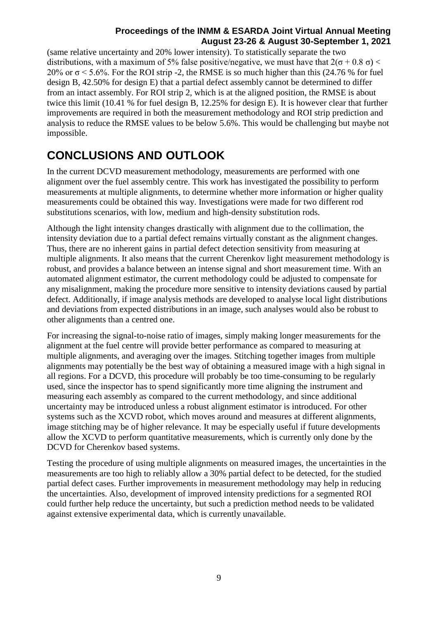(same relative uncertainty and 20% lower intensity). To statistically separate the two distributions, with a maximum of 5% false positive/negative, we must have that  $2(\sigma + 0.8 \sigma)$  < 20% or  $\sigma$  < 5.6%. For the ROI strip -2, the RMSE is so much higher than this (24.76 % for fuel design B, 42.50% for design E) that a partial defect assembly cannot be determined to differ from an intact assembly. For ROI strip 2, which is at the aligned position, the RMSE is about twice this limit (10.41 % for fuel design B, 12.25% for design E). It is however clear that further improvements are required in both the measurement methodology and ROI strip prediction and analysis to reduce the RMSE values to be below 5.6%. This would be challenging but maybe not impossible.

# **CONCLUSIONS AND OUTLOOK**

In the current DCVD measurement methodology, measurements are performed with one alignment over the fuel assembly centre. This work has investigated the possibility to perform measurements at multiple alignments, to determine whether more information or higher quality measurements could be obtained this way. Investigations were made for two different rod substitutions scenarios, with low, medium and high-density substitution rods.

Although the light intensity changes drastically with alignment due to the collimation, the intensity deviation due to a partial defect remains virtually constant as the alignment changes. Thus, there are no inherent gains in partial defect detection sensitivity from measuring at multiple alignments. It also means that the current Cherenkov light measurement methodology is robust, and provides a balance between an intense signal and short measurement time. With an automated alignment estimator, the current methodology could be adjusted to compensate for any misalignment, making the procedure more sensitive to intensity deviations caused by partial defect. Additionally, if image analysis methods are developed to analyse local light distributions and deviations from expected distributions in an image, such analyses would also be robust to other alignments than a centred one.

For increasing the signal-to-noise ratio of images, simply making longer measurements for the alignment at the fuel centre will provide better performance as compared to measuring at multiple alignments, and averaging over the images. Stitching together images from multiple alignments may potentially be the best way of obtaining a measured image with a high signal in all regions. For a DCVD, this procedure will probably be too time-consuming to be regularly used, since the inspector has to spend significantly more time aligning the instrument and measuring each assembly as compared to the current methodology, and since additional uncertainty may be introduced unless a robust alignment estimator is introduced. For other systems such as the XCVD robot, which moves around and measures at different alignments, image stitching may be of higher relevance. It may be especially useful if future developments allow the XCVD to perform quantitative measurements, which is currently only done by the DCVD for Cherenkov based systems.

Testing the procedure of using multiple alignments on measured images, the uncertainties in the measurements are too high to reliably allow a 30% partial defect to be detected, for the studied partial defect cases. Further improvements in measurement methodology may help in reducing the uncertainties. Also, development of improved intensity predictions for a segmented ROI could further help reduce the uncertainty, but such a prediction method needs to be validated against extensive experimental data, which is currently unavailable.